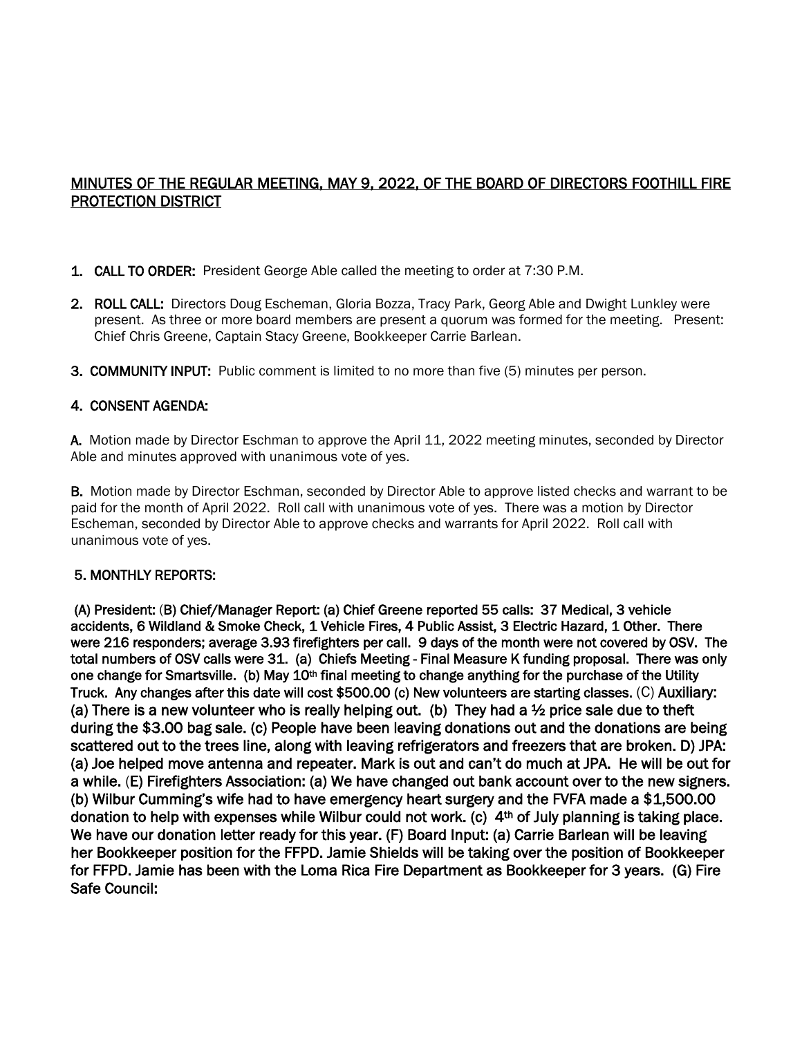# MINUTES OF THE REGULAR MEETING, MAY 9, 2022, OF THE BOARD OF DIRECTORS FOOTHILL FIRE PROTECTION DISTRICT

- 1. CALL TO ORDER: President George Able called the meeting to order at 7:30 P.M.
- 2. ROLL CALL: Directors Doug Escheman, Gloria Bozza, Tracy Park, Georg Able and Dwight Lunkley were present. As three or more board members are present a quorum was formed for the meeting. Present: Chief Chris Greene, Captain Stacy Greene, Bookkeeper Carrie Barlean.
- 3. COMMUNITY INPUT: Public comment is limited to no more than five (5) minutes per person.

# 4. CONSENT AGENDA:

A. Motion made by Director Eschman to approve the April 11, 2022 meeting minutes, seconded by Director Able and minutes approved with unanimous vote of yes.

B. Motion made by Director Eschman, seconded by Director Able to approve listed checks and warrant to be paid for the month of April 2022. Roll call with unanimous vote of yes. There was a motion by Director Escheman, seconded by Director Able to approve checks and warrants for April 2022. Roll call with unanimous vote of yes.

#### 5. MONTHLY REPORTS:

 (A) President: (B) Chief/Manager Report: (a) Chief Greene reported 55 calls: 37 Medical, 3 vehicle accidents, 6 Wildland & Smoke Check, 1 Vehicle Fires, 4 Public Assist, 3 Electric Hazard, 1 Other. There were 216 responders; average 3.93 firefighters per call. 9 days of the month were not covered by OSV. The total numbers of OSV calls were 31. (a) Chiefs Meeting - Final Measure K funding proposal. There was only one change for Smartsville. (b) May  $10<sup>th</sup>$  final meeting to change anything for the purchase of the Utility Truck. Any changes after this date will cost \$500.00 (c) New volunteers are starting classes. (C) Auxiliary: (a) There is a new volunteer who is really helping out. (b) They had a  $\frac{1}{2}$  price sale due to theft during the \$3.00 bag sale. (c) People have been leaving donations out and the donations are being scattered out to the trees line, along with leaving refrigerators and freezers that are broken. D) JPA: (a) Joe helped move antenna and repeater. Mark is out and can't do much at JPA. He will be out for a while. (E) Firefighters Association: (a) We have changed out bank account over to the new signers. (b) Wilbur Cumming's wife had to have emergency heart surgery and the FVFA made a \$1,500.00 donation to help with expenses while Wilbur could not work. (c) 4<sup>th</sup> of July planning is taking place. We have our donation letter ready for this year. (F) Board Input: (a) Carrie Barlean will be leaving her Bookkeeper position for the FFPD. Jamie Shields will be taking over the position of Bookkeeper for FFPD. Jamie has been with the Loma Rica Fire Department as Bookkeeper for 3 years. (G) Fire Safe Council: